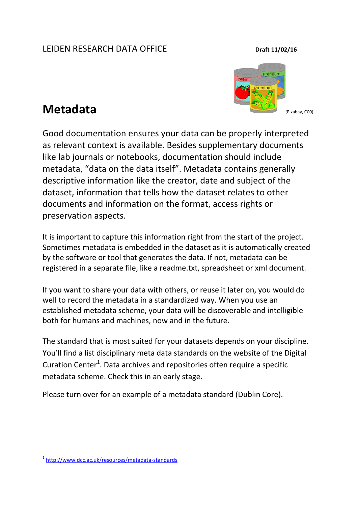

Good documentation [ensures your data can be](http://www2.le.ac.uk/services/research-data/organise-data/metadata) properly interpreted as relevant context is available. Besides supplementary documents like lab journals or notebooks, documentation should include metadata, "data on the data itself". Metadata contains generally descriptive information like the creator, date and subject of the dataset, information that tells how the dataset relates to other documents and information on the format, access rights or preservation aspects.

It is important to capture this information right from the start of the project. Sometimes metadata is embedded in the dataset as it is automatically created by the software or tool that generates the data. If not, metadata can be registered in a separate file, like a readme.txt, spreadsheet or xml document.

If you want to share your data with others, or reuse it later on, you would do well to record the metadata in a standardized way. When you use an established metadata scheme, your data will be discoverable and intelligible both for humans and machines, now and in the future.

The standard that is most suited for your datasets depends on your discipline. You'll find a list disciplinary meta data standards on the website of the Digital Curation Center<sup>1</sup>. Data archives and repositories often require a specific metadata scheme. Check this in an early stage.

Please turn over for an example of a metadata standard (Dublin Core).

**<sup>.</sup>** 1 <http://www.dcc.ac.uk/resources/metadata-standards>